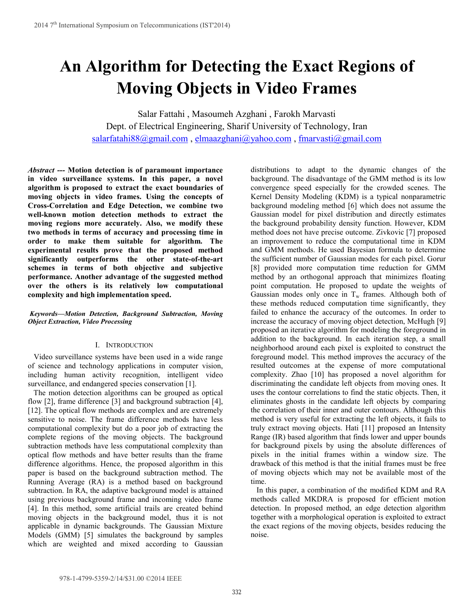# **An Algorithm for Detecting the Exact Regions of Moving Objects in Video Frames**

Salar Fattahi , Masoumeh Azghani , Farokh Marvasti Dept. of Electrical Engineering, Sharif University of Technology, Iran salarfatahi88@gmail.com , elmaazghani@yahoo.com , fmarvasti@gmail.com

*Abstract ---* **Motion detection is of paramount importance in video surveillance systems. In this paper, a novel algorithm is proposed to extract the exact boundaries of moving objects in video frames. Using the concepts of Cross-Correlation and Edge Detection, we combine two well-known motion detection methods to extract the moving regions more accurately. Also, we modify these two methods in terms of accuracy and processing time in order to make them suitable for algorithm. The experimental results prove that the proposed method significantly outperforms the other state-of-the-art schemes in terms of both objective and subjective performance. Another advantage of the suggested method over the others is its relatively low computational complexity and high implementation speed.** 

# *Keywords—Motion Detection, Background Subtraction, Moving Object Extraction, Video Processing*

# I. INTRODUCTION

 Video surveillance systems have been used in a wide range of science and technology applications in computer vision, including human activity recognition, intelligent video surveillance, and endangered species conservation [1].

 The motion detection algorithms can be grouped as optical flow [2], frame difference [3] and background subtraction [4], [12]. The optical flow methods are complex and are extremely sensitive to noise. The frame difference methods have less computational complexity but do a poor job of extracting the complete regions of the moving objects. The background subtraction methods have less computational complexity than optical flow methods and have better results than the frame difference algorithms. Hence, the proposed algorithm in this paper is based on the background subtraction method. The Running Average (RA) is a method based on background subtraction. In RA, the adaptive background model is attained using previous background frame and incoming video frame [4]. In this method, some artificial trails are created behind moving objects in the background model, thus it is not applicable in dynamic backgrounds. The Gaussian Mixture Models (GMM) [5] simulates the background by samples which are weighted and mixed according to Gaussian distributions to adapt to the dynamic changes of the background. The disadvantage of the GMM method is its low convergence speed especially for the crowded scenes. The Kernel Density Modeling (KDM) is a typical nonparametric background modeling method [6] which does not assume the Gaussian model for pixel distribution and directly estimates the background probability density function. However, KDM method does not have precise outcome. Zivkovic [7] proposed an improvement to reduce the computational time in KDM and GMM methods. He used Bayesian formula to determine the sufficient number of Gaussian modes for each pixel. Gorur [8] provided more computation time reduction for GMM method by an orthogonal approach that minimizes floating point computation. He proposed to update the weights of Gaussian modes only once in  $T_w$  frames. Although both of these methods reduced computation time significantly, they failed to enhance the accuracy of the outcomes. In order to increase the accuracy of moving object detection, McHugh [9] proposed an iterative algorithm for modeling the foreground in addition to the background. In each iteration step, a small neighborhood around each pixel is exploited to construct the foreground model. This method improves the accuracy of the resulted outcomes at the expense of more computational complexity. Zhao [10] has proposed a novel algorithm for discriminating the candidate left objects from moving ones. It uses the contour correlations to find the static objects. Then, it eliminates ghosts in the candidate left objects by comparing the correlation of their inner and outer contours. Although this method is very useful for extracting the left objects, it fails to truly extract moving objects. Hati [11] proposed an Intensity Range (IR) based algorithm that finds lower and upper bounds for background pixels by using the absolute differences of pixels in the initial frames within a window size. The drawback of this method is that the initial frames must be free of moving objects which may not be available most of the time.

 In this paper, a combination of the modified KDM and RA methods called MKDRA is proposed for efficient motion detection. In proposed method, an edge detection algorithm together with a morphological operation is exploited to extract the exact regions of the moving objects, besides reducing the noise.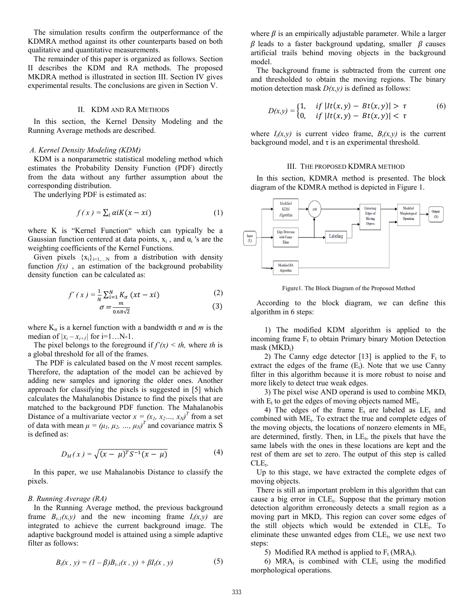The simulation results confirm the outperformance of the KDMRA method against its other counterparts based on both qualitative and quantitative measurements.

 The remainder of this paper is organized as follows. Section II describes the KDM and RA methods. The proposed MKDRA method is illustrated in section III. Section IV gives experimental results. The conclusions are given in Section V.

## II. KDM AND RA METHODS

 In this section, the Kernel Density Modeling and the Running Average methods are described.

# *A. Kernel Density Modeling (KDM)*

 KDM is a nonparametric statistical modeling method which estimates the Probability Density Function (PDF) directly from the data without any further assumption about the corresponding distribution.

The underlying PDF is estimated as:

$$
f(x) = \sum_{i} \alpha i K(x - xi)
$$
 (1)

where K is "Kernel Function" which can typically be a Gaussian function centered at data points,  $x_i$ , and  $\alpha_i$ 's are the weighting coefficients of the Kernel Functions.

Given pixels  $\{x_i\}_{i=1,N}$  from a distribution with density function  $f(x)$ , an estimation of the background probability density function can be calculated as:

$$
f'(x) = \frac{1}{N} \sum_{i=1}^{N} K_{\sigma} (xt - xi)
$$
 (2)

$$
\sigma = \frac{m}{0.68\sqrt{2}}\tag{3}
$$

where  $K_{\sigma}$  is a kernel function with a bandwidth  $\sigma$  and *m* is the median of  $|x_i - x_{i+1}|$  for i=1...N-1.

The pixel belongs to the foreground if  $f'(x) < th$ , where *th* is a global threshold for all of the frames.

 The PDF is calculated based on the *N* most recent samples. Therefore, the adaptation of the model can be achieved by adding new samples and ignoring the older ones. Another approach for classifying the pixels is suggested in [5] which calculates the Mahalanobis Distance to find the pixels that are matched to the background PDF function. The Mahalanobis Distance of a multivariate vector  $x = (x_1, x_2, ..., x_N)^T$  from a set of data with mean  $\mu = (\mu_1, \mu_2, ..., \mu_N)^T$  and covariance matrix S is defined as:

$$
D_M(x) = \sqrt{(x - \mu)^T S^{-1} (x - \mu)}
$$
 (4)

In this paper, we use Mahalanobis Distance to classify the pixels.

## *B. Running Average (RA)*

In the Running Average method, the previous background frame  $B_{t-1}(x,y)$  and the new incoming frame  $I_t(x,y)$  are integrated to achieve the current background image. The adaptive background model is attained using a simple adaptive filter as follows:

$$
B_t(x, y) = (1 - \beta)B_{t-1}(x, y) + \beta I_t(x, y)
$$
 (5)

where  $\beta$  is an empirically adjustable parameter. While a larger  $\beta$  leads to a faster background updating, smaller  $\beta$  causes artificial trails behind moving objects in the background model.

 The background frame is subtracted from the current one and thresholded to obtain the moving regions. The binary motion detection mask  $D(x, y)$  is defined as follows:

$$
D(x,y) = \begin{cases} 1, & if \ |lt(x,y) - Bt(x,y)| > \tau \\ 0, & if \ |lt(x,y) - Bt(x,y)| < \tau \end{cases}
$$
 (6)

where  $I_t(x,y)$  is current video frame,  $B_t(x,y)$  is the current background model, and  $\tau$  is an experimental threshold.

#### III. THE PROPOSED KDMRA METHOD

 In this section, KDMRA method is presented. The block diagram of the KDMRA method is depicted in Figure 1.



Figure1. The Block Diagram of the Proposed Method

 According to the block diagram, we can define this algorithm in 6 steps:

 1) The modified KDM algorithm is applied to the incoming frame  $F_t$  to obtain Primary binary Motion Detection  $mask(MKD_t)$ 

2) The Canny edge detector [13] is applied to the  $F_t$  to extract the edges of the frame  $(E_t)$ . Note that we use Canny filter in this algorithm because it is more robust to noise and more likely to detect true weak edges.

3) The pixel wise AND operand is used to combine  $MKD<sub>t</sub>$ with  $E_t$  to get the edges of moving objects named  $ME_t$ .

4) The edges of the frame  $E_t$  are labeled as  $LE_t$  and combined with ME<sub>t</sub>. To extract the true and complete edges of the moving objects, the locations of nonzero elements in  $ME<sub>t</sub>$ are determined, firstly. Then, in  $LE_t$ , the pixels that have the same labels with the ones in these locations are kept and the rest of them are set to zero. The output of this step is called  $CLE_t$ .

 Up to this stage, we have extracted the complete edges of moving objects.

 There is still an important problem in this algorithm that can cause a big error in  $CLE_t$ . Suppose that the primary motion detection algorithm erroneously detects a small region as a moving part in MKD<sub>t</sub>. This region can cover some edges of the still objects which would be extended in  $CLE_t$ . To eliminate these unwanted edges from  $CLE<sub>t</sub>$ , we use next two steps:

5) Modified RA method is applied to  $F_t$  (MRA<sub>t</sub>).

6) MRA<sub>t</sub> is combined with  $CLE_t$  using the modified morphological operations.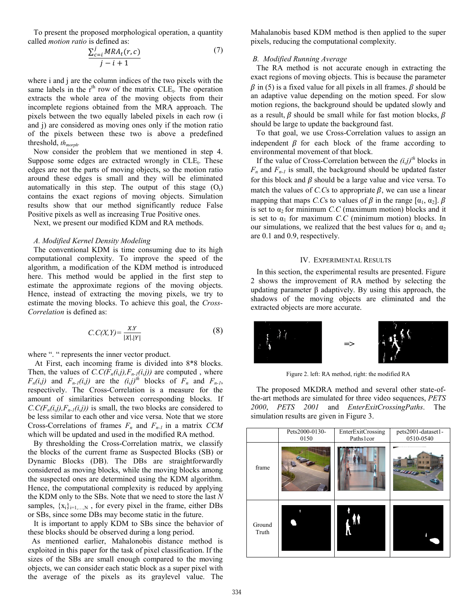To present the proposed morphological operation, a quantity called *motion ratio* is defined as:

$$
\frac{\sum_{c=i}^{j} MRA_t(r, c)}{j - i + 1} \tag{7}
$$

where i and j are the column indices of the two pixels with the same labels in the  $r<sup>th</sup>$  row of the matrix  $CLE_t$ . The operation extracts the whole area of the moving objects from their incomplete regions obtained from the MRA approach. The pixels between the two equally labeled pixels in each row (i and j) are considered as moving ones only if the motion ratio of the pixels between these two is above a predefined threshold, *th<sub>morph</sub>*.

 Now consider the problem that we mentioned in step 4. Suppose some edges are extracted wrongly in  $CLE_t$ . These edges are not the parts of moving objects, so the motion ratio around these edges is small and they will be eliminated automatically in this step. The output of this stage  $(O_t)$ contains the exact regions of moving objects. Simulation results show that our method significantly reduce False Positive pixels as well as increasing True Positive ones.

Next, we present our modified KDM and RA methods.

#### *A. Modified Kernel Density Modeling*

 The conventional KDM is time consuming due to its high computational complexity. To improve the speed of the algorithm, a modification of the KDM method is introduced here. This method would be applied in the first step to estimate the approximate regions of the moving objects. Hence, instead of extracting the moving pixels, we try to estimate the moving blocks. To achieve this goal, the *Cross-Correlation* is defined as:

$$
C.C(X,Y) = \frac{X.Y}{|X|.|Y|}
$$
 (8)

where ". " represents the inner vector product.

 At First, each incoming frame is divided into 8\*8 blocks. Then, the values of  $C.C(F_n(i,j),F_{n-1}(i,j))$  are computed, where  $F_n(i,j)$  and  $F_{n-1}(i,j)$  are the  $(i,j)$ <sup>th</sup> blocks of  $F_n$  and  $F_{n-1}$ , respectively. The Cross-Correlation is a measure for the amount of similarities between corresponding blocks. If  $C.C(F_n(i,j),F_{n-1}(i,j))$  is small, the two blocks are considered to be less similar to each other and vice versa. Note that we store Cross-Correlations of frames  $F_n$  and  $F_{n-1}$  in a matrix  $CCM$ which will be updated and used in the modified RA method.

 By thresholding the Cross-Correlation matrix, we classify the blocks of the current frame as Suspected Blocks (SB) or Dynamic Blocks (DB). The DBs are straightforwardly considered as moving blocks, while the moving blocks among the suspected ones are determined using the KDM algorithm. Hence, the computational complexity is reduced by applying the KDM only to the SBs. Note that we need to store the last *N* samples,  $\{x_i\}_{i=1,...,N}$ , for every pixel in the frame, either DBs or SBs, since some DBs may become static in the future.

 It is important to apply KDM to SBs since the behavior of these blocks should be observed during a long period.

 As mentioned earlier, Mahalonobis distance method is exploited in this paper for the task of pixel classification. If the sizes of the SBs are small enough compared to the moving objects, we can consider each static block as a super pixel with the average of the pixels as its graylevel value. The

Mahalanobis based KDM method is then applied to the super pixels, reducing the computational complexity.

## *B. Modified Running Average*

 The RA method is not accurate enough in extracting the exact regions of moving objects. This is because the parameter  $\beta$  in (5) is a fixed value for all pixels in all frames.  $\beta$  should be an adaptive value depending on the motion speed. For slow motion regions, the background should be updated slowly and as a result,  $\beta$  should be small while for fast motion blocks,  $\beta$ should be large to update the background fast.

 To that goal, we use Cross-Correlation values to assign an independent  $\beta$  for each block of the frame according to environmental movement of that block.

If the value of Cross-Correlation between the  $(i,j)$ <sup>th</sup> blocks in  $F_n$  and  $F_{n-1}$  is small, the background should be updated faster for this block and  $\beta$  should be a large value and vice versa. To match the values of *C.C*s to appropriate  $\beta$ , we can use a linear mapping that maps *C.Cs* to values of  $\beta$  in the range  $[\alpha_1, \alpha_2]$ .  $\beta$ is set to  $\alpha_2$  for minimum *C.C* (maximum motion) blocks and it is set to  $\alpha_1$  for maximum *C.C* (minimum motion) blocks. In our simulations, we realized that the best values for  $\alpha_1$  and  $\alpha_2$ are 0.1 and 0.9, respectively.

# IV. EXPERIMENTAL RESULTS

 In this section, the experimental results are presented. Figure 2 shows the improvement of RA method by selecting the updating parameter β adaptively. By using this approach, the shadows of the moving objects are eliminated and the extracted objects are more accurate.



Figure 2. left: RA method, right: the modified RA

 The proposed MKDRA method and several other state-ofthe-art methods are simulated for three video sequences, *PETS 2000*, *PETS 2001* and *EnterExitCrossingPaths*. The simulation results are given in Figure 3.

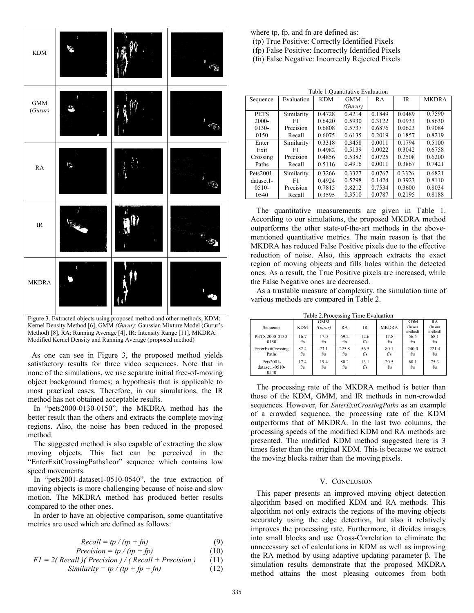

Figure 3. Extracted objects using proposed method and other methods, KDM: Kernel Density Method [6], GMM *(Gurur)*: Gaussian Mixture Model (Gurur's Method) [8], RA: Running Average [4], IR: Intensity Range [11], MKDRA: Modified Kernel Density and Running Average (proposed method)

 As one can see in Figure 3, the proposed method yields satisfactory results for three video sequences. Note that in none of the simulations, we use separate initial free-of-moving object background frames; a hypothesis that is applicable to most practical cases. Therefore, in our simulations, the IR method has not obtained acceptable results.

 In "pets2000-0130-0150", the MKDRA method has the better result than the others and extracts the complete moving regions. Also, the noise has been reduced in the proposed method.

 The suggested method is also capable of extracting the slow moving objects. This fact can be perceived in the "EnterExitCrossingPaths1cor" sequence which contains low speed movements.

 In "pets2001-dataset1-0510-0540", the true extraction of moving objects is more challenging because of noise and slow motion. The MKDRA method has produced better results compared to the other ones.

 In order to have an objective comparison, some quantitative metrics are used which are defined as follows:

$$
Recall = tp / (tp + fn)
$$
 (9)

$$
Precision = tp / (tp + fp)
$$
(10)  
Fl = 2(Recall) (Precision) / (Recall + Precision) (11)

$$
FI = 2(\text{Recall } / \text{Precision}) / (\text{Recall} + \text{Precision}) \tag{11}
$$
\n
$$
\text{Similarity} = tp / (tp + fp + fn) \tag{12}
$$

where tp, fp, and fn are defined as:

- (tp) True Positive: Correctly Identified Pixels
- (fp) False Positive: Incorrectly Identified Pixels
- (fn) False Negative: Incorrectly Rejected Pixels

| Table 1. Quantitative Evaluation |            |            |            |        |             |              |  |  |  |  |  |
|----------------------------------|------------|------------|------------|--------|-------------|--------------|--|--|--|--|--|
| Sequence                         | Evaluation | <b>KDM</b> | <b>GMM</b> | RA     | $_{\rm IR}$ | <b>MKDRA</b> |  |  |  |  |  |
|                                  |            |            | (Gurur)    |        |             |              |  |  |  |  |  |
| <b>PETS</b>                      | Similarity | 0.4728     | 0.4214     | 0.1849 | 0.0489      | 0.7590       |  |  |  |  |  |
| $2000 -$                         | F1         | 0.6420     | 0.5930     | 0.3122 | 0.0933      | 0.8630       |  |  |  |  |  |
| $0130-$                          | Precision  | 0.6808     | 0.5737     | 0.6876 | 0.0623      | 0.9084       |  |  |  |  |  |
| 0150                             | Recall     | 0.6075     | 0.6135     | 0.2019 | 0.1857      | 0.8219       |  |  |  |  |  |
| Enter                            | Similarity | 0.3318     | 0.3458     | 0.0011 | 0.1794      | 0.5100       |  |  |  |  |  |
| Exit                             | F1         | 0.4982     | 0.5139     | 0.0022 | 0.3042      | 0.6758       |  |  |  |  |  |
| Crossing                         | Precision  | 0.4856     | 0.5382     | 0.0725 | 0.2508      | 0.6200       |  |  |  |  |  |
| Paths                            | Recall     | 0.5116     | 0.4916     | 0.0011 | 0.3867      | 0.7421       |  |  |  |  |  |
| Pets2001-                        | Similarity | 0.3266     | 0.3327     | 0.0767 | 0.3326      | 0.6821       |  |  |  |  |  |
| dataset1-                        | F1         | 0.4924     | 0.5298     | 0.1424 | 0.3923      | 0.8110       |  |  |  |  |  |
| $0510-$                          | Precision  | 0.7815     | 0.8212     | 0.7534 | 0.3600      | 0.8034       |  |  |  |  |  |
| 0540                             | Recall     | 0.3595     | 0.3510     | 0.0787 | 0.2195      | 0.8188       |  |  |  |  |  |

 The quantitative measurements are given in Table 1. According to our simulations, the proposed MKDRA method outperforms the other state-of-the-art methods in the abovementioned quantitative metrics*.* The main reason is that the MKDRA has reduced False Positive pixels due to the effective reduction of noise. Also, this approach extracts the exact region of moving objects and fills holes within the detected ones. As a result, the True Positive pixels are increased, while the False Negative ones are decreased.

 As a trustable measure of complexity, the simulation time of various methods are compared in Table 2.

| Table 2. Processing Time Evaluation |             |                       |              |             |              |                                  |                          |  |  |  |  |
|-------------------------------------|-------------|-----------------------|--------------|-------------|--------------|----------------------------------|--------------------------|--|--|--|--|
| Sequence                            | <b>KDM</b>  | <b>GMM</b><br>(Gurur) | <b>RA</b>    | IR          | <b>MKDRA</b> | <b>KDM</b><br>(In our<br>method) | RA<br>(In our<br>method) |  |  |  |  |
| PETS 2000-0130-<br>0150             | 167<br>f/s  | 170<br>f/s            | 69.2<br>f/s  | 12.6<br>f/s | 17.8<br>f/s  | 56.5<br>f/s                      | 68.1<br>f/s              |  |  |  |  |
| EnterExitCrossing<br>Paths          | 82.4<br>f/s | 73.1<br>f/s           | 225.8<br>f/s | 56.5<br>f/s | 80.1<br>f/s  | 240.0<br>f/s                     | 2214<br>f/s              |  |  |  |  |
| Pets2001-<br>dataset1-0510-<br>0540 | 174<br>f/s  | 19.4<br>f/s           | 80.2<br>f/s  | 13.1<br>f/s | 20.5<br>f/s  | 60.1<br>f/s                      | 75.3<br>f/s              |  |  |  |  |

 The processing rate of the MKDRA method is better than those of the KDM, GMM, and IR methods in non-crowded sequences. However, for *EnterExitCrossingPaths* as an example of a crowded sequence, the processing rate of the KDM outperforms that of MKDRA. In the last two columns, the processing speeds of the modified KDM and RA methods are presented. The modified KDM method suggested here is 3 times faster than the original KDM. This is because we extract the moving blocks rather than the moving pixels.

## V. CONCLUSION

 This paper presents an improved moving object detection algorithm based on modified KDM and RA methods. This algorithm not only extracts the regions of the moving objects accurately using the edge detection, but also it relatively improves the processing rate. Furthermore, it divides images into small blocks and use Cross-Correlation to eliminate the unnecessary set of calculations in KDM as well as improving the RA method by using adaptive updating parameter β. The simulation results demonstrate that the proposed MKDRA method attains the most pleasing outcomes from both